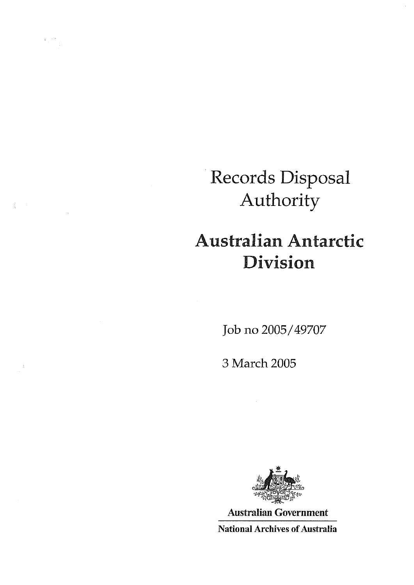Records Disposal Authority

# Australian Antarctic Division

Job no 2005/49707

3 March 2005



Australian Government

National Archives of Australia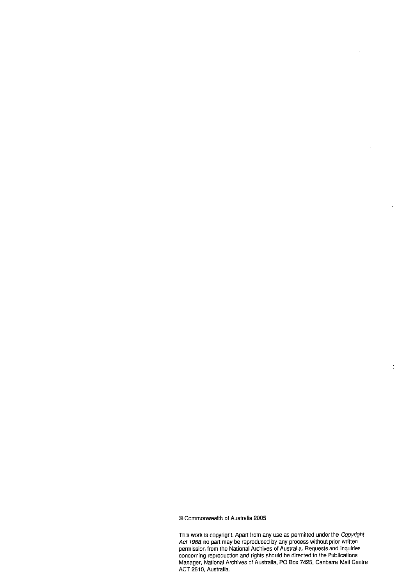© Commonwealth of Australia2005

**This work iscopyright. Apart from anyuseas permitted under the Copyright**  Act 1968 no part may be reproduced by any process without prior written **permission from the National Archives of Australia. Requests and inquiries concerning reproduction andrights should be directed to the Publications Manager, National Archives ofAustralia, PO Box 7425, Canberra Mail Centre**  ACT 2610, Australia.

J.

 $\ddot{\cdot}$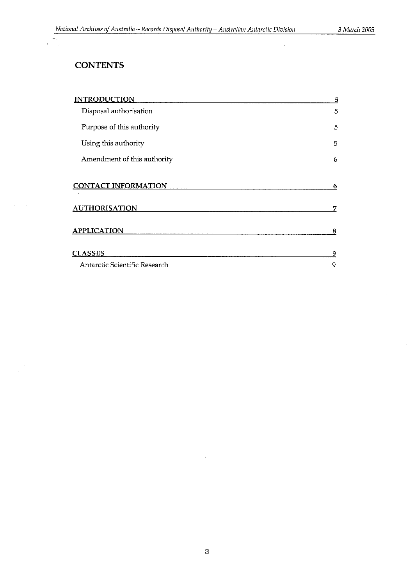$\ddot{\phantom{a}}$ 

# **CONTENTS**

 $\cdots$ 조기

 $\bar{\gamma}$ 

- 3

| <b>INTRODUCTION</b>           | $\overline{5}$ |
|-------------------------------|----------------|
| Disposal authorisation        | 5              |
| Purpose of this authority     | 5              |
| Using this authority          | 5              |
| Amendment of this authority   | 6              |
| <b>CONTACT INFORMATION</b>    | 6              |
| <b>AUTHORISATION</b>          | 7              |
| <b>APPLICATION</b>            | 8              |
| <b>CLASSES</b>                | 9              |
| Antarctic Scientific Research | 9              |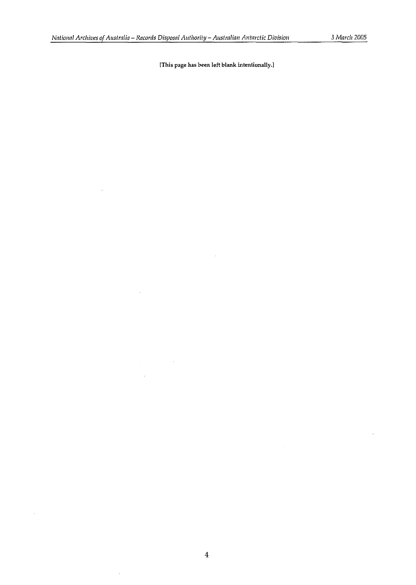l,

 $\bar{\beta}$ 

 $\bar{1}$ 

 $\frac{1}{2} \frac{1}{2} \frac{1}{2} \frac{1}{2}$ 

**[This page has been left blank intentionally.]** 

l,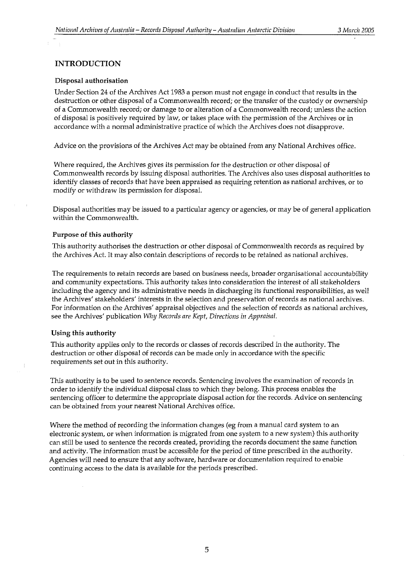#### **INTRODUCTION**

#### Disposal authorisation

Under Section 24 of the Archives Act 1983 a person must not engage in conduct that results in the destruction or other disposal of a Commonwealth record; or the transfer of the custody or ownership of a Commonwealth record; or damage to or alteration of a Commonwealth record; unless the action of disposal is positively required by law, or takes place with the permission of the Archives or in accordance with a normal administrative practice of which the Archives does not disapprove.

Advice on the provisions of the Archives Act may be obtained from any National Archives office.

Where required, the Archives gives its permission for the destruction or other disposal of Commonwealth records by issuing disposal authorities. The Archives also uses disposal authorities to identify classes of records that have been appraised as requiring retention as national archives, or to modify or withdraw its permission for disposal.

Disposal authorities may be issued to a particular agency or agencies, or may be of general application within the Commonwealth.

#### Purpose of this authority

This authority authorises the destruction or other disposal of Commonwealth records as required by the Archives Act. It may also contain descriptions of records to be retained as national archives.

The requirements to retain records are based on business needs, broader organisational accountability and community expectations. This authority takes into consideration the interest of all stakeholders including the agency and its administrative needs in discharging its functional responsibilities, as well the Archives' stakeholders' interests in the selection and preservation of records as national archives. For information on the Archives' appraisal objectives and the selection of records as national archives, see the Archives' publication *Why Records are Kept, Directions in Appraisal*.

#### Using this authority

This authority applies only to the records or classes of records described in the authority. The destruction or other disposal of records can be made only in accordance with the specific requirements set out in this authority.

**This authority is to be used to sentence records. Sentencing involves the examination of records in**  order to identify the individual disposal class to which they belong. This process enables the sentencing officer to determine the appropriate disposal action for the records. Advice on sentencing can be obtained from your nearest National Archives office.

Where the method of recording the information changes (eg from a manual card system to an electronic system, or when information is migrated from one system to a new system) this authority can still be used to sentence the records created, providing the records document the same function and activity. The information must be accessible for the period of time prescribed in the authority. Agencies will need to ensure that any software, hardware or documentation required to enable continuing access to the data is available for the periods prescribed.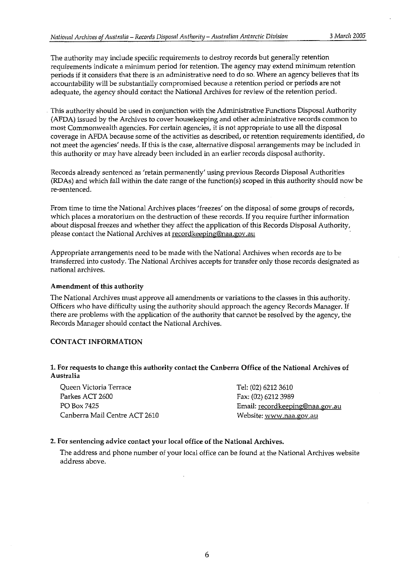The authority may include specific requirements to destroy records but generally retention requirements indicate a minimum period for retention. The agency may extend minimum retention periods if it considers that there is an administrative need to do so. Where an agency believes that its accountability will be substantially compromised because a retention period or periods are not adequate, the agency should contact the National Archives for review of the retention period.

. This authority should be used in conjunction with the Administrative Functions Disposal Authority (AFDA) issued by the Archives to cover housekeeping and other administrative records common to most Commonwealth agencies. For certain agencies, it is not appropriate to use all the disposal coverage in AFDA because some of the activities as described, or retention requirements identified, do not meet the agencies' needs. If this is the case, alternative disposal arrangements may be included in this authority or may have aiready been included in an earlier records disposal authority.

Records already sentenced as 'retain permanently' using previous Records Disposal Authorities (RDAs) and which fall within the date range of the function(s) scoped in this authority should now be **re-sentenced.** 

From time to time the National Archives places 'freezes' on the disposal of some groups of records, which places a moratorium on the destruction of these records. If you require further information about disposal freezes and whether they affect the application of this Records Disposal Authority, please contact the National Archives at recordkeeping@naa.gov.au

Appropriate arrangements need to be made with the National Archives when records are to be transferred into custody. The National Archives accepts for transfer only those records designated as national archives.

#### Amendment of this authority

The National Archives must approve all amendments or variations to the classes in this authority. Officers who have difficulty using the authority should approach the agency Records Manager. If there are problems with the application of the authority that cannot be resolved by the agency, the Records Manager should contact the National Archives.

#### CONTACT INFORMATION

#### 1. For requests to change this authority contact the Canberra Office of the National Archives of Australia

| Queen Victoria Terrace        | Tel: (02) 6212 3610             |
|-------------------------------|---------------------------------|
| Parkes ACT 2600               | Fax: (02) 6212 3989             |
| PO Box 7425                   | Email: recordkeeping@naa.gov.au |
| Canberra Mail Centre ACT 2610 | Website: www.naa.gov.au         |

#### 2. For sentencing advice contact your local office of the National Archives.

The address and phone number of your local office can be found at the National Archives website address above.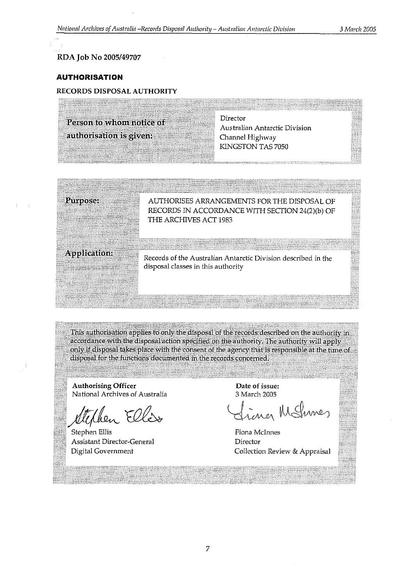# RDAJob No *2005/49707*

### **AUTHORISATION**

# RECORDS DISPOSAL AUTHORITY

Person to whom notice of authorisation is given:

**Director**  Australian Antarctic Division Channel Highway KINGSTON TAS 7050

| Purpose:     | AUTHORISES ARRANGEMENTS FOR THE DISPOSAL OF                                                                    |
|--------------|----------------------------------------------------------------------------------------------------------------|
|              | RECORDS IN ACCORDANCE WITH SECTION 24(2)(b) OF                                                                 |
|              | THE ARCHIVES ACT 1983                                                                                          |
|              |                                                                                                                |
|              |                                                                                                                |
|              |                                                                                                                |
| Application: | Records of the Australian Antarctic Division described in the                                                  |
|              | disposal classes in this authority                                                                             |
|              |                                                                                                                |
|              |                                                                                                                |
|              | senial tendak dan bagi penekan dan menumpun pada pada pada pada pada pada tahun menggap dan pada pada pada pad |

This authorisation applies to only the disposal of the records described on the authority in accordance with the disposal action specified on the authority. The authority will apply only if disposal takes place with the consent of the agency that is responsible at the time of disposal for the functions documented in the records concerned.

**Authorising Officer** National Archives of Australia

hen Elle

Stephen Ellis Assistant Director-General Digital Government

Date of issue: 3 March 2005

ing Money

Fiona McInnes Director Collection Review & Appraisal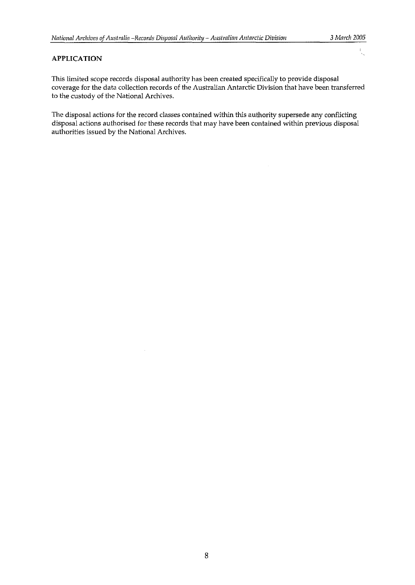$\frac{1}{2}$ 

#### **APPLICATION**

This limited scope records disposal authority has been created specifically to provide disposal coverage for the data collection records of the Australian Antarctic Division that have been transferred to the custody of the National Archives.

The disposal actions for the record classes contained within this authority supersede any conflicting disposal actions authorised for these records that may have been contained within previous disposal authorities issued by the National Archives.